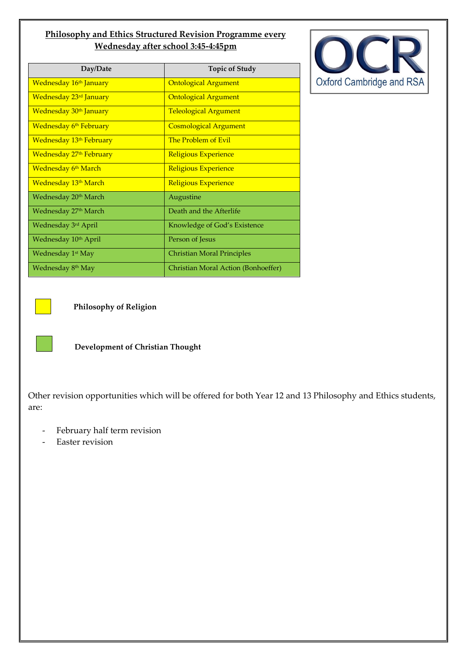## **Philosophy and Ethics Structured Revision Programme every Wednesday after school 3:45-4:45pm**

| Day/Date                           | <b>Topic of Study</b>               |  |
|------------------------------------|-------------------------------------|--|
| Wednesday 16 <sup>th</sup> January | <b>Ontological Argument</b>         |  |
| Wednesday 23rd January             | <b>Ontological Argument</b>         |  |
| Wednesday 30 <sup>th</sup> January | <b>Teleological Argument</b>        |  |
| <b>Wednesday 6th February</b>      | <b>Cosmological Argument</b>        |  |
| <b>Wednesday 13th February</b>     | The Problem of Evil                 |  |
| Wednesday 27th February            | Religious Experience                |  |
| <b>Wednesday 6th March</b>         | Religious Experience                |  |
| <u>Wednesday 13th March</u>        | Religious Experience                |  |
| Wednesday 20 <sup>th</sup> March   | Augustine                           |  |
| Wednesday 27 <sup>th</sup> March   | Death and the Afterlife             |  |
| Wednesday 3rd April                | Knowledge of God's Existence        |  |
| Wednesday 10 <sup>th</sup> April   | Person of Jesus                     |  |
| Wednesday 1 <sup>st</sup> May      | <b>Christian Moral Principles</b>   |  |
| Wednesday 8 <sup>th</sup> May      | Christian Moral Action (Bonhoeffer) |  |





**Philosophy of Religion** 

**Development of Christian Thought** 

Other revision opportunities which will be offered for both Year 12 and 13 Philosophy and Ethics students, are:

- February half term revision
- Easter revision